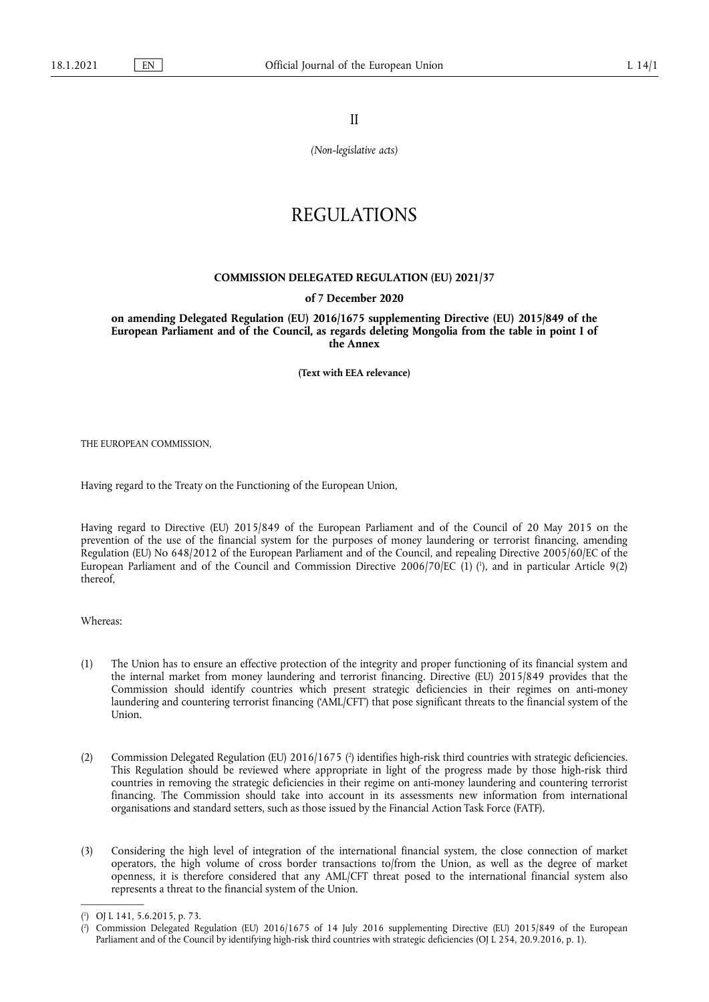II

*(Non-legislative acts)* 

# REGULATIONS

### **COMMISSION DELEGATED REGULATION (EU) 2021/37**

#### **of 7 December 2020**

**on amending Delegated Regulation (EU) 2016/1675 supplementing Directive (EU) 2015/849 of the European Parliament and of the Council, as regards deleting Mongolia from the table in point I of the Annex** 

**(Text with EEA relevance)** 

THE EUROPEAN COMMISSION,

Having regard to the Treaty on the Functioning of the European Union,

<span id="page-0-2"></span>Having regard to Directive (EU) 2015/849 of the European Parliament and of the Council of 20 May 2015 on the prevention of the use of the financial system for the purposes of money laundering or terrorist financing, amending Regulation (EU) No 648/2012 of the European Parliament and of the Council, and repealing Directive 2005/60/EC of the European Parliament and of the Council and Commission Directive 2006/70/EC (1) ( 1 [\),](#page-0-0) and in particular Article 9(2) thereof,

Whereas:

- (1) The Union has to ensure an effective protection of the integrity and proper functioning of its financial system and the internal market from money laundering and terrorist financing. Directive (EU) 2015/849 provides that the Commission should identify countries which present strategic deficiencies in their regimes on anti-money laundering and countering terrorist financing ('AML/CFT') that pose significant threats to the financial system of the Union.
- <span id="page-0-3"></span>(2[\)](#page-0-1) Commission Delegated Regulation (EU) 2016/1675 (<sup>2</sup>) identifies high-risk third countries with strategic deficiencies. This Regulation should be reviewed where appropriate in light of the progress made by those high-risk third countries in removing the strategic deficiencies in their regime on anti-money laundering and countering terrorist financing. The Commission should take into account in its assessments new information from international organisations and standard setters, such as those issued by the Financial Action Task Force (FATF).
- (3) Considering the high level of integration of the international financial system, the close connection of market operators, the high volume of cross border transactions to/from the Union, as well as the degree of market openness, it is therefore considered that any AML/CFT threat posed to the international financial system also represents a threat to the financial system of the Union.

<span id="page-0-0"></span>[<sup>\(</sup>](#page-0-2) 1 ) OJ L 141, 5.6.2015, p. 73.

<span id="page-0-1"></span>[<sup>\(</sup>](#page-0-3) 2 ) Commission Delegated Regulation (EU) 2016/1675 of 14 July 2016 supplementing Directive (EU) 2015/849 of the European Parliament and of the Council by identifying high-risk third countries with strategic deficiencies (OJ L 254, 20.9.2016, p. 1).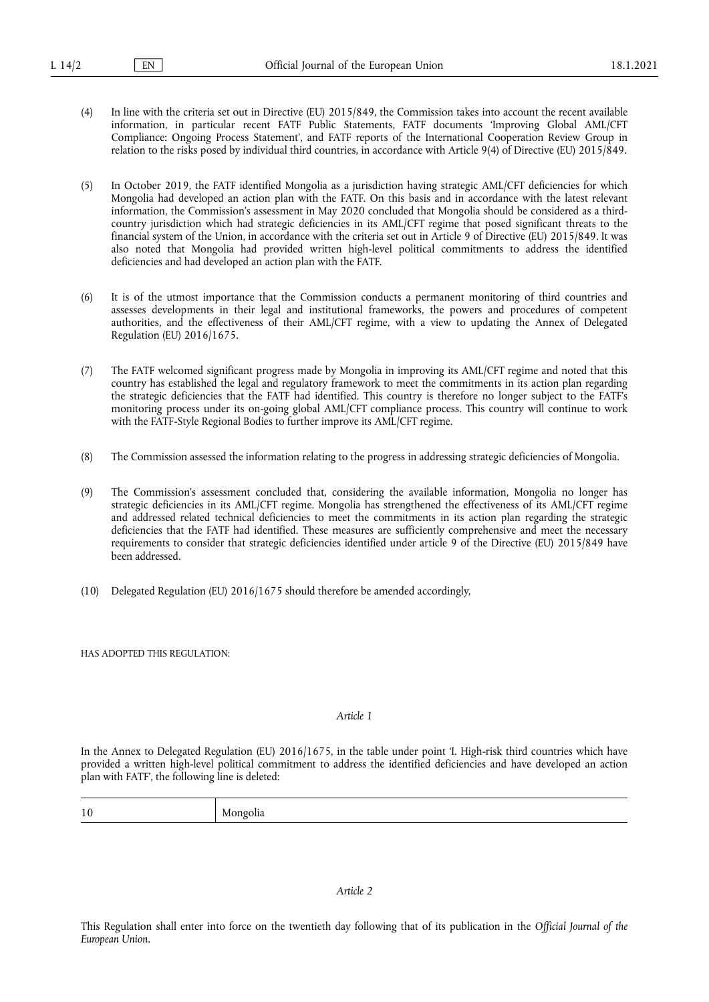- (4) In line with the criteria set out in Directive (EU) 2015/849, the Commission takes into account the recent available information, in particular recent FATF Public Statements, FATF documents 'Improving Global AML/CFT Compliance: Ongoing Process Statement', and FATF reports of the International Cooperation Review Group in relation to the risks posed by individual third countries, in accordance with Article 9(4) of Directive (EU) 2015/849.
- (5) In October 2019, the FATF identified Mongolia as a jurisdiction having strategic AML/CFT deficiencies for which Mongolia had developed an action plan with the FATF. On this basis and in accordance with the latest relevant information, the Commission's assessment in May 2020 concluded that Mongolia should be considered as a thirdcountry jurisdiction which had strategic deficiencies in its AML/CFT regime that posed significant threats to the financial system of the Union, in accordance with the criteria set out in Article 9 of Directive (EU) 2015/849. It was also noted that Mongolia had provided written high-level political commitments to address the identified deficiencies and had developed an action plan with the FATF.
- (6) It is of the utmost importance that the Commission conducts a permanent monitoring of third countries and assesses developments in their legal and institutional frameworks, the powers and procedures of competent authorities, and the effectiveness of their AML/CFT regime, with a view to updating the Annex of Delegated Regulation (EU) 2016/1675.
- (7) The FATF welcomed significant progress made by Mongolia in improving its AML/CFT regime and noted that this country has established the legal and regulatory framework to meet the commitments in its action plan regarding the strategic deficiencies that the FATF had identified. This country is therefore no longer subject to the FATF's monitoring process under its on-going global AML/CFT compliance process. This country will continue to work with the FATF-Style Regional Bodies to further improve its AML/CFT regime.
- (8) The Commission assessed the information relating to the progress in addressing strategic deficiencies of Mongolia.
- (9) The Commission's assessment concluded that, considering the available information, Mongolia no longer has strategic deficiencies in its AML/CFT regime. Mongolia has strengthened the effectiveness of its AML/CFT regime and addressed related technical deficiencies to meet the commitments in its action plan regarding the strategic deficiencies that the FATF had identified. These measures are sufficiently comprehensive and meet the necessary requirements to consider that strategic deficiencies identified under article 9 of the Directive (EU) 2015/849 have been addressed.
- (10) Delegated Regulation (EU) 2016/1675 should therefore be amended accordingly,

HAS ADOPTED THIS REGULATION:

#### *Article 1*

In the Annex to Delegated Regulation (EU) 2016/1675, in the table under point 'I. High-risk third countries which have provided a written high-level political commitment to address the identified deficiencies and have developed an action plan with FATF', the following line is deleted:

| 10<br>.<br>---- |  |
|-----------------|--|
|-----------------|--|

## *Article 2*

This Regulation shall enter into force on the twentieth day following that of its publication in the *Official Journal of the European Union.*